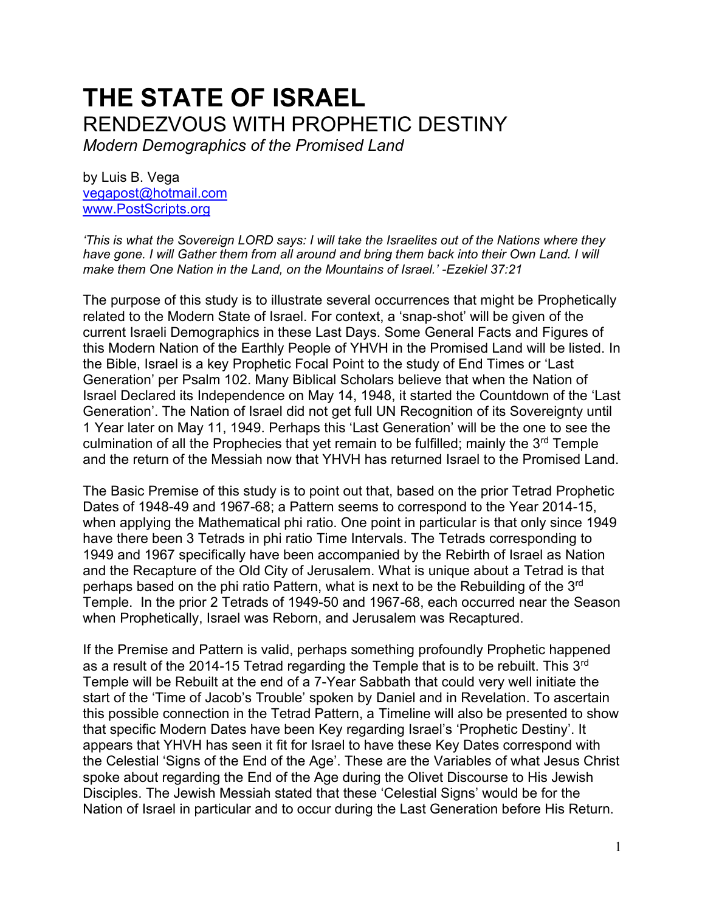# **THE STATE OF ISRAEL** RENDEZVOUS WITH PROPHETIC DESTINY

*Modern Demographics of the Promised Land* 

by Luis B. Vega [vegapost@hotmail.com](mailto:vegapost@hotmail.com) [www.PostScripts.org](http://www.postscripts.org/)

*'This is what the Sovereign LORD says: I will take the Israelites out of the Nations where they have gone. I will Gather them from all around and bring them back into their Own Land. I will make them One Nation in the Land, on the Mountains of Israel.' -Ezekiel 37:21*

The purpose of this study is to illustrate several occurrences that might be Prophetically related to the Modern State of Israel. For context, a 'snap-shot' will be given of the current Israeli Demographics in these Last Days. Some General Facts and Figures of this Modern Nation of the Earthly People of YHVH in the Promised Land will be listed. In the Bible, Israel is a key Prophetic Focal Point to the study of End Times or 'Last Generation' per Psalm 102. Many Biblical Scholars believe that when the Nation of Israel Declared its Independence on May 14, 1948, it started the Countdown of the 'Last Generation'. The Nation of Israel did not get full UN Recognition of its Sovereignty until 1 Year later on May 11, 1949. Perhaps this 'Last Generation' will be the one to see the culmination of all the Prophecies that yet remain to be fulfilled; mainly the 3<sup>rd</sup> Temple and the return of the Messiah now that YHVH has returned Israel to the Promised Land.

The Basic Premise of this study is to point out that, based on the prior Tetrad Prophetic Dates of 1948-49 and 1967-68; a Pattern seems to correspond to the Year 2014-15, when applying the Mathematical phi ratio. One point in particular is that only since 1949 have there been 3 Tetrads in phi ratio Time Intervals. The Tetrads corresponding to 1949 and 1967 specifically have been accompanied by the Rebirth of Israel as Nation and the Recapture of the Old City of Jerusalem. What is unique about a Tetrad is that perhaps based on the phi ratio Pattern, what is next to be the Rebuilding of the 3rd Temple. In the prior 2 Tetrads of 1949-50 and 1967-68, each occurred near the Season when Prophetically, Israel was Reborn, and Jerusalem was Recaptured.

If the Premise and Pattern is valid, perhaps something profoundly Prophetic happened as a result of the 2014-15 Tetrad regarding the Temple that is to be rebuilt. This 3<sup>rd</sup> Temple will be Rebuilt at the end of a 7-Year Sabbath that could very well initiate the start of the 'Time of Jacob's Trouble' spoken by Daniel and in Revelation. To ascertain this possible connection in the Tetrad Pattern, a Timeline will also be presented to show that specific Modern Dates have been Key regarding Israel's 'Prophetic Destiny'. It appears that YHVH has seen it fit for Israel to have these Key Dates correspond with the Celestial 'Signs of the End of the Age'. These are the Variables of what Jesus Christ spoke about regarding the End of the Age during the Olivet Discourse to His Jewish Disciples. The Jewish Messiah stated that these 'Celestial Signs' would be for the Nation of Israel in particular and to occur during the Last Generation before His Return.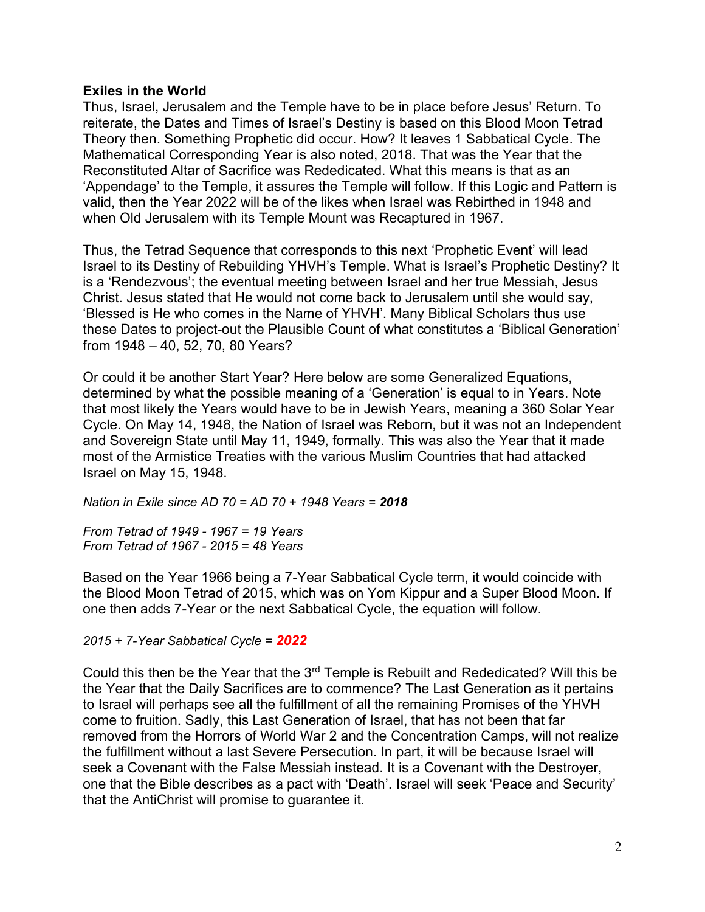# **Exiles in the World**

Thus, Israel, Jerusalem and the Temple have to be in place before Jesus' Return. To reiterate, the Dates and Times of Israel's Destiny is based on this Blood Moon Tetrad Theory then. Something Prophetic did occur. How? It leaves 1 Sabbatical Cycle. The Mathematical Corresponding Year is also noted, 2018. That was the Year that the Reconstituted Altar of Sacrifice was Rededicated. What this means is that as an 'Appendage' to the Temple, it assures the Temple will follow. If this Logic and Pattern is valid, then the Year 2022 will be of the likes when Israel was Rebirthed in 1948 and when Old Jerusalem with its Temple Mount was Recaptured in 1967.

Thus, the Tetrad Sequence that corresponds to this next 'Prophetic Event' will lead Israel to its Destiny of Rebuilding YHVH's Temple. What is Israel's Prophetic Destiny? It is a 'Rendezvous'; the eventual meeting between Israel and her true Messiah, Jesus Christ. Jesus stated that He would not come back to Jerusalem until she would say, 'Blessed is He who comes in the Name of YHVH'. Many Biblical Scholars thus use these Dates to project-out the Plausible Count of what constitutes a 'Biblical Generation' from 1948 – 40, 52, 70, 80 Years?

Or could it be another Start Year? Here below are some Generalized Equations, determined by what the possible meaning of a 'Generation' is equal to in Years. Note that most likely the Years would have to be in Jewish Years, meaning a 360 Solar Year Cycle. On May 14, 1948, the Nation of Israel was Reborn, but it was not an Independent and Sovereign State until May 11, 1949, formally. This was also the Year that it made most of the Armistice Treaties with the various Muslim Countries that had attacked Israel on May 15, 1948.

*Nation in Exile since AD 70 = AD 70 + 1948 Years = 2018*

*From Tetrad of 1949 - 1967 = 19 Years From Tetrad of 1967 - 2015 = 48 Years*

Based on the Year 1966 being a 7-Year Sabbatical Cycle term, it would coincide with the Blood Moon Tetrad of 2015, which was on Yom Kippur and a Super Blood Moon. If one then adds 7-Year or the next Sabbatical Cycle, the equation will follow.

*2015 + 7-Year Sabbatical Cycle = 2022*

Could this then be the Year that the  $3<sup>rd</sup>$  Temple is Rebuilt and Rededicated? Will this be the Year that the Daily Sacrifices are to commence? The Last Generation as it pertains to Israel will perhaps see all the fulfillment of all the remaining Promises of the YHVH come to fruition. Sadly, this Last Generation of Israel, that has not been that far removed from the Horrors of World War 2 and the Concentration Camps, will not realize the fulfillment without a last Severe Persecution. In part, it will be because Israel will seek a Covenant with the False Messiah instead. It is a Covenant with the Destroyer, one that the Bible describes as a pact with 'Death'. Israel will seek 'Peace and Security' that the AntiChrist will promise to guarantee it.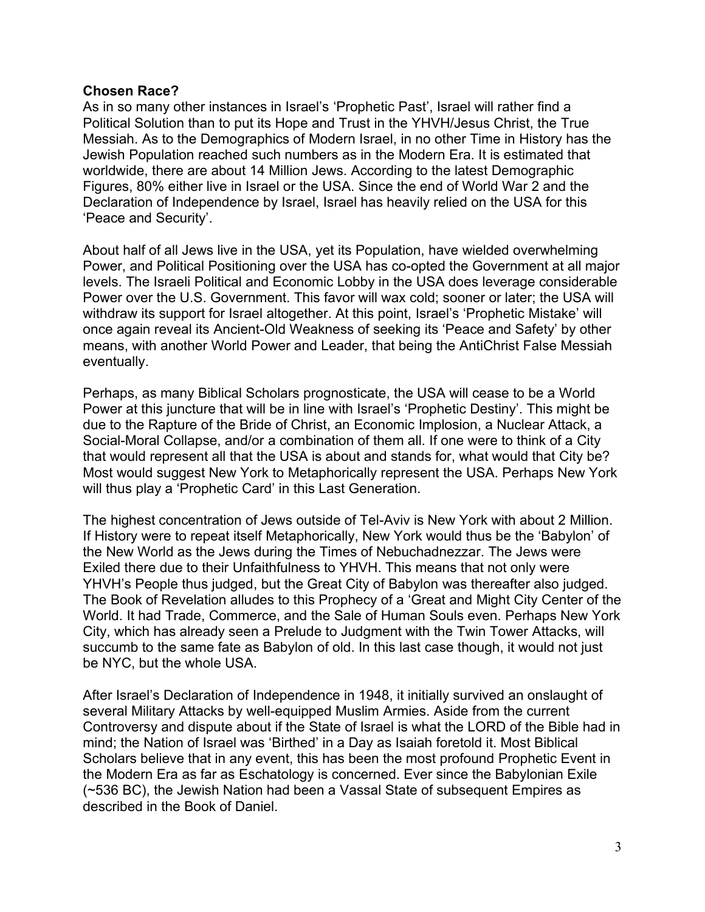# **Chosen Race?**

As in so many other instances in Israel's 'Prophetic Past', Israel will rather find a Political Solution than to put its Hope and Trust in the YHVH/Jesus Christ, the True Messiah. As to the Demographics of Modern Israel, in no other Time in History has the Jewish Population reached such numbers as in the Modern Era. It is estimated that worldwide, there are about 14 Million Jews. According to the latest Demographic Figures, 80% either live in Israel or the USA. Since the end of World War 2 and the Declaration of Independence by Israel, Israel has heavily relied on the USA for this 'Peace and Security'.

About half of all Jews live in the USA, yet its Population, have wielded overwhelming Power, and Political Positioning over the USA has co-opted the Government at all major levels. The Israeli Political and Economic Lobby in the USA does leverage considerable Power over the U.S. Government. This favor will wax cold; sooner or later; the USA will withdraw its support for Israel altogether. At this point, Israel's 'Prophetic Mistake' will once again reveal its Ancient-Old Weakness of seeking its 'Peace and Safety' by other means, with another World Power and Leader, that being the AntiChrist False Messiah eventually.

Perhaps, as many Biblical Scholars prognosticate, the USA will cease to be a World Power at this juncture that will be in line with Israel's 'Prophetic Destiny'. This might be due to the Rapture of the Bride of Christ, an Economic Implosion, a Nuclear Attack, a Social-Moral Collapse, and/or a combination of them all. If one were to think of a City that would represent all that the USA is about and stands for, what would that City be? Most would suggest New York to Metaphorically represent the USA. Perhaps New York will thus play a 'Prophetic Card' in this Last Generation.

The highest concentration of Jews outside of Tel-Aviv is New York with about 2 Million. If History were to repeat itself Metaphorically, New York would thus be the 'Babylon' of the New World as the Jews during the Times of Nebuchadnezzar. The Jews were Exiled there due to their Unfaithfulness to YHVH. This means that not only were YHVH's People thus judged, but the Great City of Babylon was thereafter also judged. The Book of Revelation alludes to this Prophecy of a 'Great and Might City Center of the World. It had Trade, Commerce, and the Sale of Human Souls even. Perhaps New York City, which has already seen a Prelude to Judgment with the Twin Tower Attacks, will succumb to the same fate as Babylon of old. In this last case though, it would not just be NYC, but the whole USA.

After Israel's Declaration of Independence in 1948, it initially survived an onslaught of several Military Attacks by well-equipped Muslim Armies. Aside from the current Controversy and dispute about if the State of Israel is what the LORD of the Bible had in mind; the Nation of Israel was 'Birthed' in a Day as Isaiah foretold it. Most Biblical Scholars believe that in any event, this has been the most profound Prophetic Event in the Modern Era as far as Eschatology is concerned. Ever since the Babylonian Exile (~536 BC), the Jewish Nation had been a Vassal State of subsequent Empires as described in the Book of Daniel.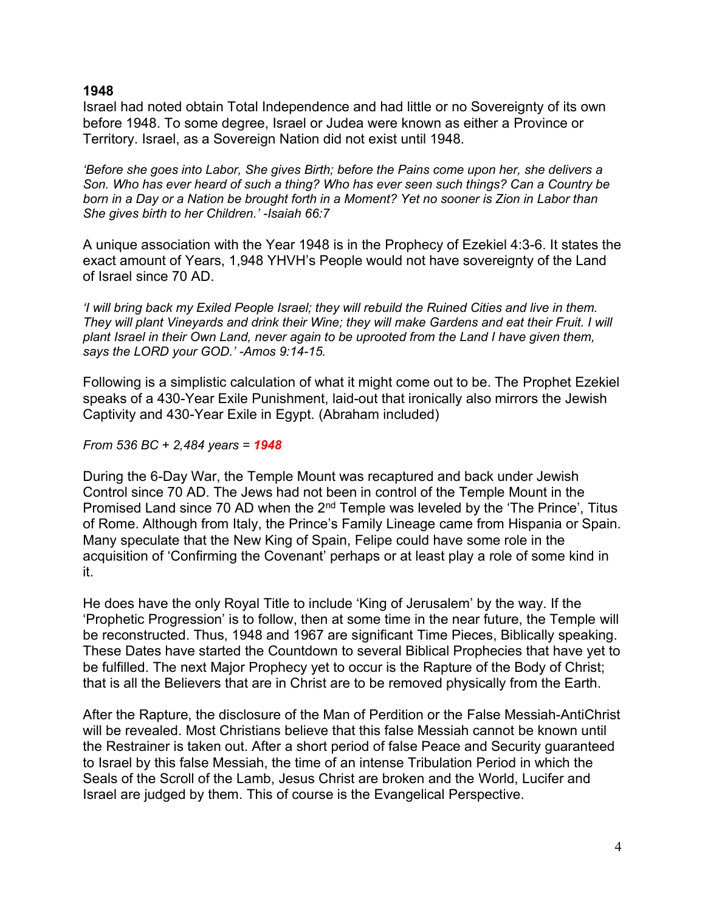# **1948**

Israel had noted obtain Total Independence and had little or no Sovereignty of its own before 1948. To some degree, Israel or Judea were known as either a Province or Territory. Israel, as a Sovereign Nation did not exist until 1948.

*'Before she goes into Labor, She gives Birth; before the Pains come upon her, she delivers a Son. Who has ever heard of such a thing? Who has ever seen such things? Can a Country be born in a Day or a Nation be brought forth in a Moment? Yet no sooner is Zion in Labor than She gives birth to her Children.' -Isaiah 66:7*

A unique association with the Year 1948 is in the Prophecy of Ezekiel 4:3-6. It states the exact amount of Years, 1,948 YHVH's People would not have sovereignty of the Land of Israel since 70 AD.

*'I will bring back my Exiled People Israel; they will rebuild the Ruined Cities and live in them. They will plant Vineyards and drink their Wine; they will make Gardens and eat their Fruit. I will plant Israel in their Own Land, never again to be uprooted from the Land I have given them, says the LORD your GOD.' -Amos 9:14-15.*

Following is a simplistic calculation of what it might come out to be. The Prophet Ezekiel speaks of a 430-Year Exile Punishment, laid-out that ironically also mirrors the Jewish Captivity and 430-Year Exile in Egypt. (Abraham included)

*From 536 BC + 2,484 years = 1948*

During the 6-Day War, the Temple Mount was recaptured and back under Jewish Control since 70 AD. The Jews had not been in control of the Temple Mount in the Promised Land since 70 AD when the 2<sup>nd</sup> Temple was leveled by the 'The Prince', Titus of Rome. Although from Italy, the Prince's Family Lineage came from Hispania or Spain. Many speculate that the New King of Spain, Felipe could have some role in the acquisition of 'Confirming the Covenant' perhaps or at least play a role of some kind in it.

He does have the only Royal Title to include 'King of Jerusalem' by the way. If the 'Prophetic Progression' is to follow, then at some time in the near future, the Temple will be reconstructed. Thus, 1948 and 1967 are significant Time Pieces, Biblically speaking. These Dates have started the Countdown to several Biblical Prophecies that have yet to be fulfilled. The next Major Prophecy yet to occur is the Rapture of the Body of Christ; that is all the Believers that are in Christ are to be removed physically from the Earth.

After the Rapture, the disclosure of the Man of Perdition or the False Messiah-AntiChrist will be revealed. Most Christians believe that this false Messiah cannot be known until the Restrainer is taken out. After a short period of false Peace and Security guaranteed to Israel by this false Messiah, the time of an intense Tribulation Period in which the Seals of the Scroll of the Lamb, Jesus Christ are broken and the World, Lucifer and Israel are judged by them. This of course is the Evangelical Perspective.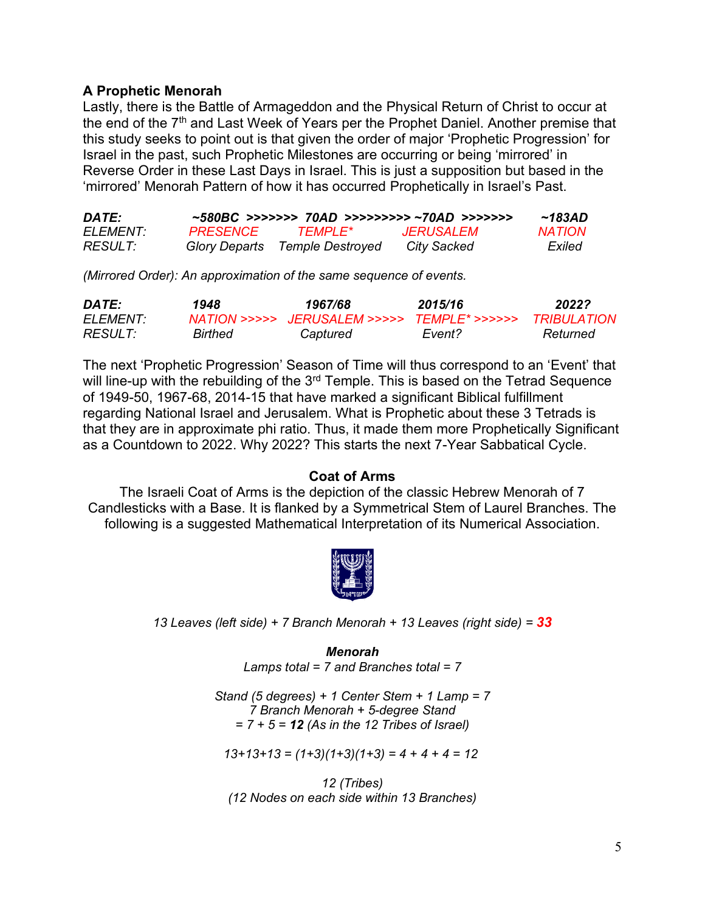# **A Prophetic Menorah**

Lastly, there is the Battle of Armageddon and the Physical Return of Christ to occur at the end of the 7<sup>th</sup> and Last Week of Years per the Prophet Daniel. Another premise that this study seeks to point out is that given the order of major 'Prophetic Progression' for Israel in the past, such Prophetic Milestones are occurring or being 'mirrored' in Reverse Order in these Last Days in Israel. This is just a supposition but based in the 'mirrored' Menorah Pattern of how it has occurred Prophetically in Israel's Past.

| DATE:                 |                 |                                | ~580BC >>>>>>> 70AD >>>>>>>>> ~70AD >>>>>>> | $~\sim$ 183AD |
|-----------------------|-----------------|--------------------------------|---------------------------------------------|---------------|
| FI FMFNT <sup>.</sup> | <b>PRESENCE</b> | <b>TEMPLE*</b>                 | <i><b>JERUSALEM</b></i>                     | <b>NATION</b> |
| <i>RESULT:</i>        |                 | Glory Departs Temple Destroyed | City Sacked                                 | Exiled        |

*(Mirrored Order): An approximation of the same sequence of events.* 

| DATE:          | 1948    | 1967/68                                     | 2015/16 | 2022?              |
|----------------|---------|---------------------------------------------|---------|--------------------|
| ELEMENT:       |         | NATION >>>>> JERUSALEM >>>>> TEMPLE* >>>>>> |         | <b>TRIBULATION</b> |
| <i>RESULT:</i> | Birthed | Captured                                    | Event?  | Returned           |

The next 'Prophetic Progression' Season of Time will thus correspond to an 'Event' that will line-up with the rebuilding of the  $3<sup>rd</sup>$  Temple. This is based on the Tetrad Sequence of 1949-50, 1967-68, 2014-15 that have marked a significant Biblical fulfillment regarding National Israel and Jerusalem. What is Prophetic about these 3 Tetrads is that they are in approximate phi ratio. Thus, it made them more Prophetically Significant as a Countdown to 2022. Why 2022? This starts the next 7-Year Sabbatical Cycle.

# **Coat of Arms**

The Israeli Coat of Arms is the depiction of the classic Hebrew Menorah of 7 Candlesticks with a Base. It is flanked by a Symmetrical Stem of Laurel Branches. The following is a suggested Mathematical Interpretation of its Numerical Association.



*13 Leaves (left side) + 7 Branch Menorah + 13 Leaves (right side) = 33*

*Menorah Lamps total = 7 and Branches total = 7*

*Stand (5 degrees) + 1 Center Stem + 1 Lamp = 7 7 Branch Menorah + 5-degree Stand = 7 + 5 = 12 (As in the 12 Tribes of Israel)*

*13+13+13 = (1+3)(1+3)(1+3) = 4 + 4 + 4 = 12*

*12 (Tribes) (12 Nodes on each side within 13 Branches)*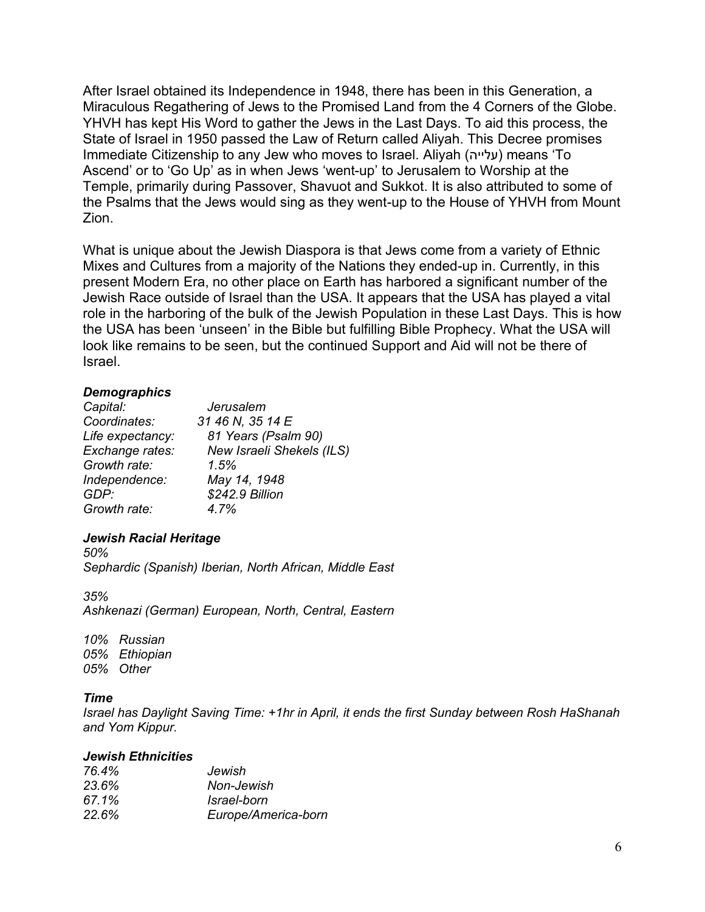After Israel obtained its Independence in 1948, there has been in this Generation, a Miraculous Regathering of Jews to the Promised Land from the 4 Corners of the Globe. YHVH has kept His Word to gather the Jews in the Last Days. To aid this process, the State of Israel in 1950 passed the Law of Return called Aliyah. This Decree promises Immediate Citizenship to any Jew who moves to Israel. Aliyah (עלייה (means 'To Ascend' or to 'Go Up' as in when Jews 'went-up' to Jerusalem to Worship at the Temple, primarily during Passover, Shavuot and Sukkot. It is also attributed to some of the Psalms that the Jews would sing as they went-up to the House of YHVH from Mount Zion.

What is unique about the Jewish Diaspora is that Jews come from a variety of Ethnic Mixes and Cultures from a majority of the Nations they ended-up in. Currently, in this present Modern Era, no other place on Earth has harbored a significant number of the Jewish Race outside of Israel than the USA. It appears that the USA has played a vital role in the harboring of the bulk of the Jewish Population in these Last Days. This is how the USA has been 'unseen' in the Bible but fulfilling Bible Prophecy. What the USA will look like remains to be seen, but the continued Support and Aid will not be there of Israel.

# *Demographics*

| Capital:         | Jerusalem                 |
|------------------|---------------------------|
| Coordinates:     | 31 46 N, 35 14 E          |
| Life expectancy: | 81 Years (Psalm 90)       |
| Exchange rates:  | New Israeli Shekels (ILS) |
| Growth rate:     | 1.5%                      |
| Independence:    | May 14, 1948              |
| GDP:             | \$242.9 Billion           |
| Growth rate:     | 4.7%                      |

# *Jewish Racial Heritage*

*50% Sephardic (Spanish) Iberian, North African, Middle East*

*35% Ashkenazi (German) European, North, Central, Eastern*

*10% Russian 05% Ethiopian 05% Other*

# *Time*

*Israel has Daylight Saving Time: +1hr in April, it ends the first Sunday between Rosh HaShanah and Yom Kippur.*

# *Jewish Ethnicities*

| Jewish              |
|---------------------|
| Non-Jewish          |
| Israel-born         |
| Europe/America-born |
|                     |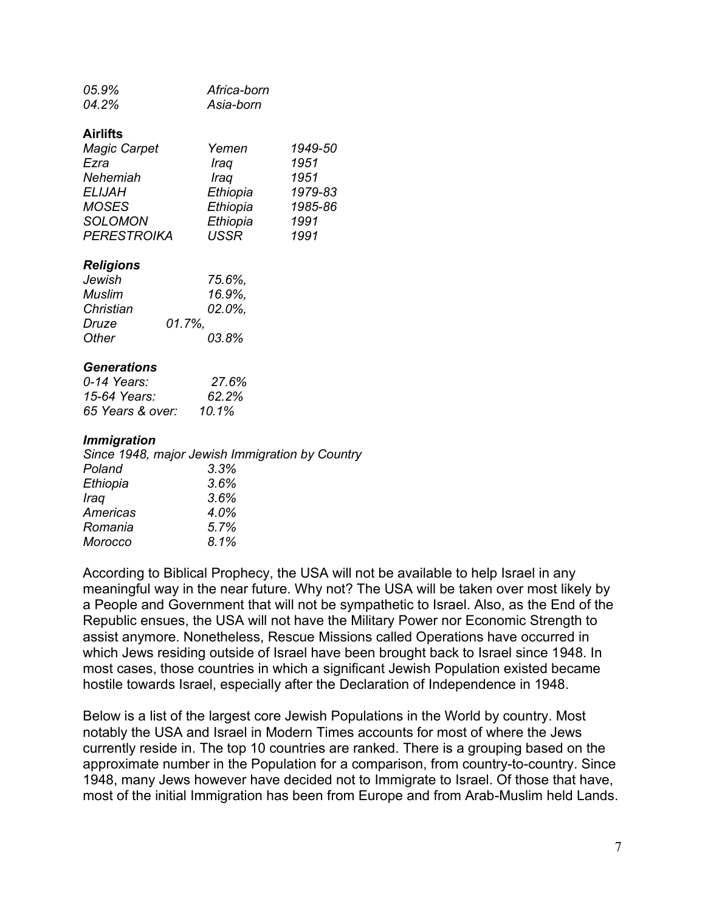| 05.9% | Africa-born |
|-------|-------------|
| 04.2% | Asia-born   |

#### **Airlifts**

| <b>Magic Carpet</b> | Yemen       | 1949-50 |
|---------------------|-------------|---------|
| Ezra                | Iraq        | 1951    |
| Nehemiah            | Iraq        | 1951    |
| <b>ELIJAH</b>       | Ethiopia    | 1979-83 |
| <b>MOSES</b>        | Ethiopia    | 1985-86 |
| <b>SOLOMON</b>      | Ethiopia    | 1991    |
| <b>PERESTROIKA</b>  | <b>USSR</b> | 1991    |

#### *Religions*

| Jewish    | 75.6%. |
|-----------|--------|
| Muslim    | 16.9%. |
| Christian | 02.0%. |
| Druze     | 01.7%. |
| Other     | 03.8%  |

#### *Generations*

| 0-14 Years:      | 27.6%    |
|------------------|----------|
| 15-64 Years:     | $62.2\%$ |
| 65 Years & over: | 10.1%    |

#### *Immigration*

| Since 1948, major Jewish Immigration by Country |
|-------------------------------------------------|
| 3.3%                                            |
| 3.6%                                            |
| 3.6%                                            |
| 4.0%                                            |
| 5.7%                                            |
| 8.1%                                            |
|                                                 |

According to Biblical Prophecy, the USA will not be available to help Israel in any meaningful way in the near future. Why not? The USA will be taken over most likely by a People and Government that will not be sympathetic to Israel. Also, as the End of the Republic ensues, the USA will not have the Military Power nor Economic Strength to assist anymore. Nonetheless, Rescue Missions called Operations have occurred in which Jews residing outside of Israel have been brought back to Israel since 1948. In most cases, those countries in which a significant Jewish Population existed became hostile towards Israel, especially after the Declaration of Independence in 1948.

Below is a list of the largest core Jewish Populations in the World by country. Most notably the USA and Israel in Modern Times accounts for most of where the Jews currently reside in. The top 10 countries are ranked. There is a grouping based on the approximate number in the Population for a comparison, from country-to-country. Since 1948, many Jews however have decided not to Immigrate to Israel. Of those that have, most of the initial Immigration has been from Europe and from Arab-Muslim held Lands.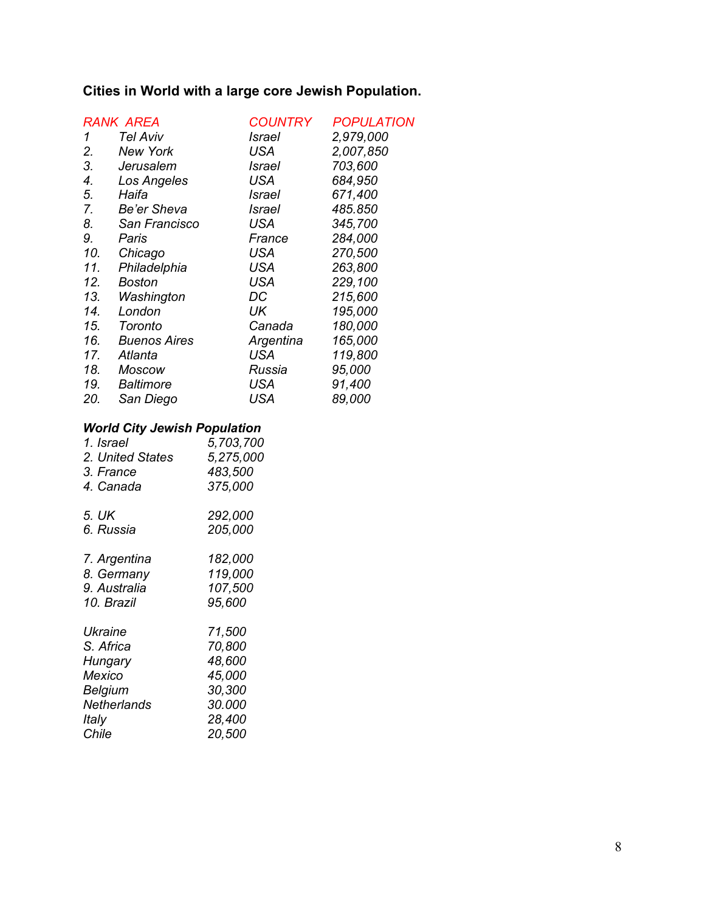# **Cities in World with a large core Jewish Population.**

| <b>RANK AREA</b> |                     | <b>COUNTRY</b> | <b>POPULATION</b> |
|------------------|---------------------|----------------|-------------------|
| 1                | Tel Aviv            | Israel         | 2,979,000         |
| 2.               | <b>New York</b>     | USA            | 2,007,850         |
| 3.               | Jerusalem           | Israel         | 703,600           |
| 4.               | Los Angeles         | USA            | 684,950           |
| 5.               | Haifa               | Israel         | 671,400           |
| 7.               | Be'er Sheva         | Israel         | 485.850           |
| 8.               | San Francisco       | USA            | 345,700           |
| 9.               | Paris               | France         | 284,000           |
| 10.              | Chicago             | USA            | 270,500           |
| 11.              | Philadelphia        | <b>USA</b>     | 263,800           |
| 12.              | Boston              | <b>USA</b>     | 229,100           |
| 13.              | Washington          | DC             | 215,600           |
| 14.              | London              | UK             | 195,000           |
| 15.              | Toronto             | Canada         | 180,000           |
| 16.              | <b>Buenos Aires</b> | Argentina      | 165,000           |
| 17.              | Atlanta             | USA            | 119,800           |
| 18.              | Moscow              | Russia         | 95,000            |
| 19.              | <b>Baltimore</b>    | <b>USA</b>     | 91,400            |
| 20.              | San Diego           | USA            | 89,000            |

# *World City Jewish Population*

| 1. Israel          | 5,703,700 |
|--------------------|-----------|
| 2. United States   | 5,275,000 |
| 3. France          | 483,500   |
| 4. Canada          | 375,000   |
| 5. UK              | 292,000   |
| 6. Russia          | 205,000   |
| 7. Argentina       | 182,000   |
| 8. Germany         | 119,000   |
| 9. Australia       | 107,500   |
| 10. Brazil         | 95,600    |
| Ukraine            | 71,500    |
| S. Africa          | 70,800    |
| Hungary            | 48,600    |
| Mexico             | 45,000    |
| Belgium            | 30,300    |
| <b>Netherlands</b> | 30.000    |
| Italy              | 28,400    |
| Chile              | 20,500    |
|                    |           |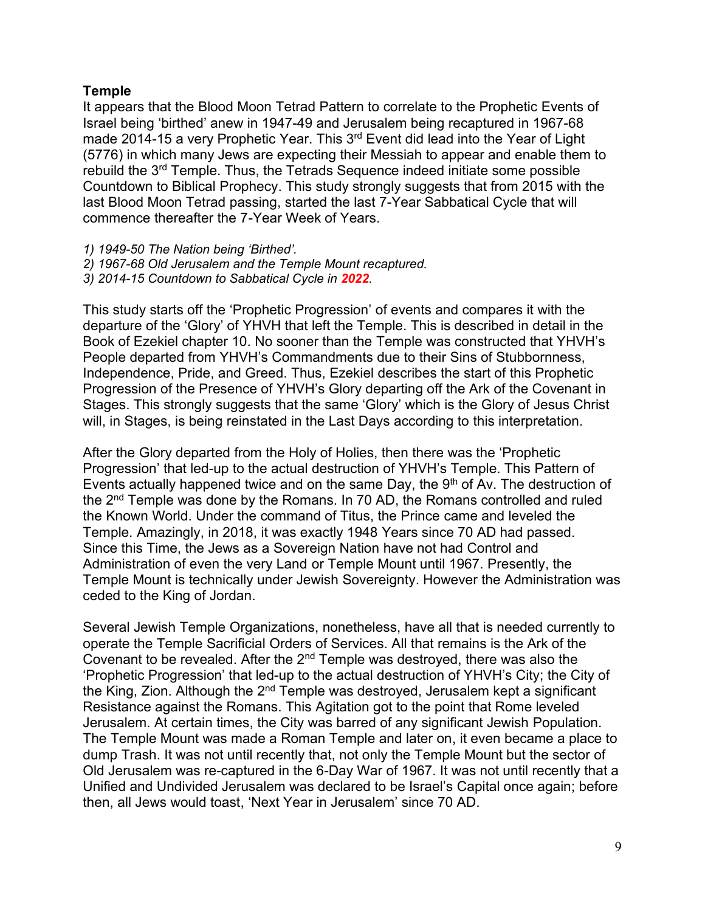# **Temple**

It appears that the Blood Moon Tetrad Pattern to correlate to the Prophetic Events of Israel being 'birthed' anew in 1947-49 and Jerusalem being recaptured in 1967-68 made 2014-15 a very Prophetic Year. This 3<sup>rd</sup> Event did lead into the Year of Light (5776) in which many Jews are expecting their Messiah to appear and enable them to rebuild the 3rd Temple. Thus, the Tetrads Sequence indeed initiate some possible Countdown to Biblical Prophecy. This study strongly suggests that from 2015 with the last Blood Moon Tetrad passing, started the last 7-Year Sabbatical Cycle that will commence thereafter the 7-Year Week of Years.

- *1) 1949-50 The Nation being 'Birthed'.*
- *2) 1967-68 Old Jerusalem and the Temple Mount recaptured.*
- *3) 2014-15 Countdown to Sabbatical Cycle in 2022.*

This study starts off the 'Prophetic Progression' of events and compares it with the departure of the 'Glory' of YHVH that left the Temple. This is described in detail in the Book of Ezekiel chapter 10. No sooner than the Temple was constructed that YHVH's People departed from YHVH's Commandments due to their Sins of Stubbornness, Independence, Pride, and Greed. Thus, Ezekiel describes the start of this Prophetic Progression of the Presence of YHVH's Glory departing off the Ark of the Covenant in Stages. This strongly suggests that the same 'Glory' which is the Glory of Jesus Christ will, in Stages, is being reinstated in the Last Days according to this interpretation.

After the Glory departed from the Holy of Holies, then there was the 'Prophetic Progression' that led-up to the actual destruction of YHVH's Temple. This Pattern of Events actually happened twice and on the same Day, the 9<sup>th</sup> of Av. The destruction of the  $2<sup>nd</sup>$  Temple was done by the Romans. In 70 AD, the Romans controlled and ruled the Known World. Under the command of Titus, the Prince came and leveled the Temple. Amazingly, in 2018, it was exactly 1948 Years since 70 AD had passed. Since this Time, the Jews as a Sovereign Nation have not had Control and Administration of even the very Land or Temple Mount until 1967. Presently, the Temple Mount is technically under Jewish Sovereignty. However the Administration was ceded to the King of Jordan.

Several Jewish Temple Organizations, nonetheless, have all that is needed currently to operate the Temple Sacrificial Orders of Services. All that remains is the Ark of the Covenant to be revealed. After the  $2<sup>nd</sup>$  Temple was destroyed, there was also the 'Prophetic Progression' that led-up to the actual destruction of YHVH's City; the City of the King, Zion. Although the  $2^{nd}$  Temple was destroyed, Jerusalem kept a significant Resistance against the Romans. This Agitation got to the point that Rome leveled Jerusalem. At certain times, the City was barred of any significant Jewish Population. The Temple Mount was made a Roman Temple and later on, it even became a place to dump Trash. It was not until recently that, not only the Temple Mount but the sector of Old Jerusalem was re-captured in the 6-Day War of 1967. It was not until recently that a Unified and Undivided Jerusalem was declared to be Israel's Capital once again; before then, all Jews would toast, 'Next Year in Jerusalem' since 70 AD.